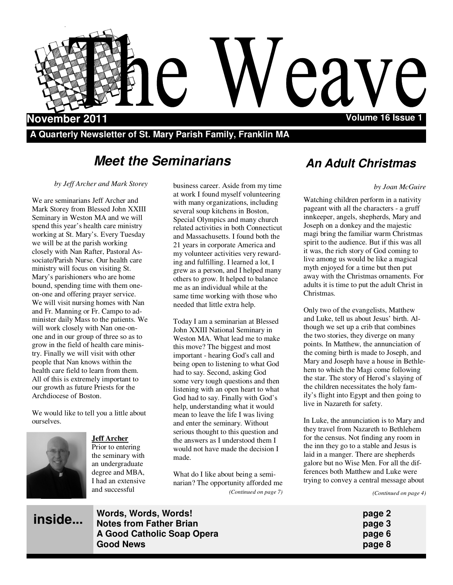

**A Quarterly Newsletter of St. Mary Parish Family, Franklin MA** 

# **Meet the Seminarians**

*by Jeff Archer and Mark Storey* 

We are seminarians Jeff Archer and Mark Storey from Blessed John XXIII Seminary in Weston MA and we will spend this year's health care ministry working at St. Mary's. Every Tuesday we will be at the parish working closely with Nan Rafter, Pastoral Associate/Parish Nurse. Our health care ministry will focus on visiting St. Mary's parishioners who are home bound, spending time with them oneon-one and offering prayer service. We will visit nursing homes with Nan and Fr. Manning or Fr. Campo to administer daily Mass to the patients. We will work closely with Nan one-onone and in our group of three so as to grow in the field of health care ministry. Finally we will visit with other people that Nan knows within the health care field to learn from them. All of this is extremely important to our growth as future Priests for the Archdiocese of Boston.

We would like to tell you a little about ourselves.



**inside...**

**Jeff Archer** Prior to entering the seminary with an undergraduate degree and MBA, I had an extensive and successful

business career. Aside from my time at work I found myself volunteering with many organizations, including several soup kitchens in Boston, Special Olympics and many church related activities in both Connecticut and Massachusetts. I found both the 21 years in corporate America and my volunteer activities very rewarding and fulfilling. I learned a lot, I grew as a person, and I helped many others to grow. It helped to balance me as an individual while at the same time working with those who needed that little extra help.

Today I am a seminarian at Blessed John XXIII National Seminary in Weston MA. What lead me to make this move? The biggest and most important - hearing God's call and being open to listening to what God had to say. Second, asking God some very tough questions and then listening with an open heart to what God had to say. Finally with God's help, understanding what it would mean to leave the life I was living and enter the seminary. Without serious thought to this question and the answers as I understood them I would not have made the decision I made.

What do I like about being a seminarian? The opportunity afforded me *(Continued on page 7)* 

# **An Adult Christmas**

#### *by Joan McGuire*

Watching children perform in a nativity pageant with all the characters - a gruff innkeeper, angels, shepherds, Mary and Joseph on a donkey and the majestic magi bring the familiar warm Christmas spirit to the audience. But if this was all it was, the rich story of God coming to live among us would be like a magical myth enjoyed for a time but then put away with the Christmas ornaments. For adults it is time to put the adult Christ in Christmas.

Only two of the evangelists, Matthew and Luke, tell us about Jesus' birth. Although we set up a crib that combines the two stories, they diverge on many points. In Matthew, the annunciation of the coming birth is made to Joseph, and Mary and Joseph have a house in Bethlehem to which the Magi come following the star. The story of Herod's slaying of the children necessitates the holy family's flight into Egypt and then going to live in Nazareth for safety.

In Luke, the annunciation is to Mary and they travel from Nazareth to Bethlehem for the census. Not finding any room in the inn they go to a stable and Jesus is laid in a manger. There are shepherds galore but no Wise Men. For all the differences both Matthew and Luke were trying to convey a central message about

*(Continued on page 4)* 

**Words, Words, Words! page 2 Notes from Father Brian** *page 3* **A Good Catholic Soap Opera page 6 Good News page 8**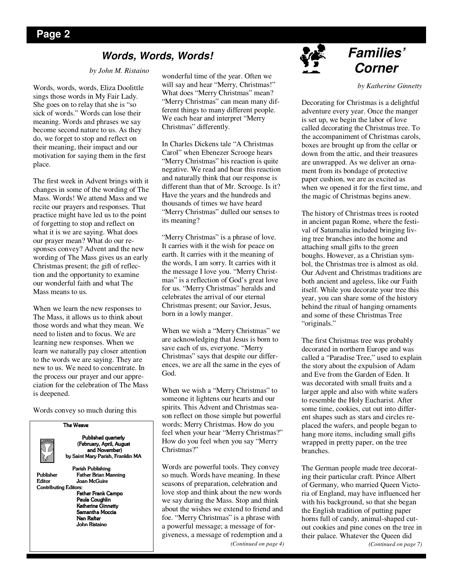## **Words, Words, Words!**

#### *by John M. Ristaino*

Words, words, words, Eliza Doolittle sings those words in My Fair Lady. She goes on to relay that she is "so sick of words." Words can lose their meaning. Words and phrases we say become second nature to us. As they do, we forget to stop and reflect on their meaning, their impact and our motivation for saying them in the first place.

The first week in Advent brings with it changes in some of the wording of The Mass. Words! We attend Mass and we recite our prayers and responses. That practice might have led us to the point of forgetting to stop and reflect on what it is we are saying. What does our prayer mean? What do our responses convey? Advent and the new wording of The Mass gives us an early Christmas present; the gift of reflection and the opportunity to examine our wonderful faith and what The Mass means to us.

When we learn the new responses to The Mass, it allows us to think about those words and what they mean. We need to listen and to focus. We are learning new responses. When we learn we naturally pay closer attention to the words we are saying. They are new to us. We need to concentrate. In the process our prayer and our appreciation for the celebration of The Mass is deepened.

Words convey so much during this



wonderful time of the year. Often we will say and hear "Merry, Christmas!" What does "Merry Christmas" mean? "Merry Christmas" can mean many different things to many different people. We each hear and interpret "Merry Christmas" differently.

In Charles Dickens tale "A Christmas Carol" when Ebenezer Scrooge hears "Merry Christmas" his reaction is quite negative. We read and hear this reaction and naturally think that our response is different than that of Mr. Scrooge. Is it? Have the years and the hundreds and thousands of times we have heard "Merry Christmas" dulled our senses to its meaning?

"Merry Christmas" is a phrase of love. It carries with it the wish for peace on earth. It carries with it the meaning of the words, I am sorry. It carries with it the message I love you. "Merry Christmas" is a reflection of God's great love for us. "Merry Christmas" heralds and celebrates the arrival of our eternal Christmas present; our Savior, Jesus, born in a lowly manger.

When we wish a "Merry Christmas" we are acknowledging that Jesus is born to save each of us, everyone. "Merry Christmas" says that despite our differences, we are all the same in the eyes of God.

When we wish a "Merry Christmas" to someone it lightens our hearts and our spirits. This Advent and Christmas season reflect on those simple but powerful words; Merry Christmas. How do you feel when your hear "Merry Christmas?" How do you feel when you say "Merry Christmas?"

Words are powerful tools. They convey so much. Words have meaning. In these seasons of preparation, celebration and love stop and think about the new words we say during the Mass. Stop and think about the wishes we extend to friend and foe. "Merry Christmas" is a phrase with a powerful message; a message of forgiveness, a message of redemption and a *(Continued on page 4)* 



# **Families' Corner**

*by Katherine Ginnetty* 

Decorating for Christmas is a delightful adventure every year. Once the manger is set up, we begin the labor of love called decorating the Christmas tree. To the accompaniment of Christmas carols, boxes are brought up from the cellar or down from the attic, and their treasures are unwrapped. As we deliver an ornament from its bondage of protective paper cushion, we are as excited as when we opened it for the first time, and the magic of Christmas begins anew.

The history of Christmas trees is rooted in ancient pagan Rome, where the festival of Saturnalia included bringing living tree branches into the home and attaching small gifts to the green boughs. However, as a Christian symbol, the Christmas tree is almost as old. Our Advent and Christmas traditions are both ancient and ageless, like our Faith itself. While you decorate your tree this year, you can share some of the history behind the ritual of hanging ornaments and some of these Christmas Tree "originals."

The first Christmas tree was probably decorated in northern Europe and was called a "Paradise Tree," used to explain the story about the expulsion of Adam and Eve from the Garden of Eden. It was decorated with small fruits and a larger apple and also with white wafers to resemble the Holy Eucharist. After some time, cookies, cut out into different shapes such as stars and circles replaced the wafers, and people began to hang more items, including small gifts wrapped in pretty paper, on the tree branches.

The German people made tree decorating their particular craft. Prince Albert of Germany, who married Queen Victoria of England, may have influenced her with his background, so that she began the English tradition of putting paper horns full of candy, animal-shaped cutout cookies and pine cones on the tree in their palace. Whatever the Queen did *(Continued on page 7)*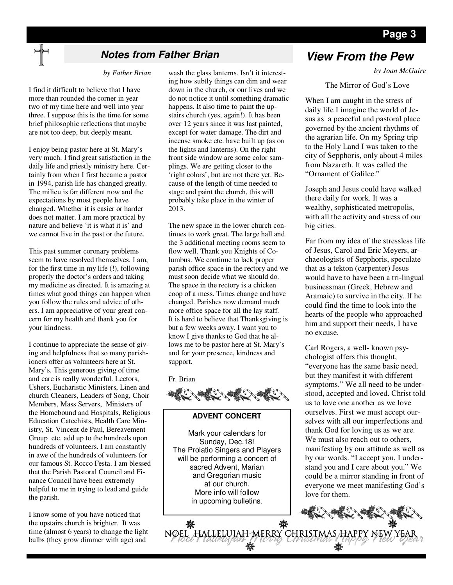## **Page 3**

## **Notes from Father Brian View From the Pew**

 *by Father Brian* 

I find it difficult to believe that I have more than rounded the corner in year two of my time here and well into year three. I suppose this is the time for some brief philosophic reflections that maybe are not too deep, but deeply meant.

I enjoy being pastor here at St. Mary's very much. I find great satisfaction in the daily life and priestly ministry here. Certainly from when I first became a pastor in 1994, parish life has changed greatly. The milieu is far different now and the expectations by most people have changed. Whether it is easier or harder does not matter. I am more practical by nature and believe 'it is what it is' and we cannot live in the past or the future.

This past summer coronary problems seem to have resolved themselves. I am, for the first time in my life (!), following properly the doctor's orders and taking my medicine as directed. It is amazing at times what good things can happen when you follow the rules and advice of others. I am appreciative of your great concern for my health and thank you for your kindness.

I continue to appreciate the sense of giving and helpfulness that so many parishioners offer as volunteers here at St. Mary's. This generous giving of time and care is really wonderful. Lectors, Ushers, Eucharistic Ministers, Linen and church Cleaners, Leaders of Song, Choir Members, Mass Servers, Ministers of the Homebound and Hospitals, Religious Education Catechists, Health Care Ministry, St. Vincent de Paul, Bereavement Group etc. add up to the hundreds upon hundreds of volunteers. I am constantly in awe of the hundreds of volunteers for our famous St. Rocco Festa. I am blessed that the Parish Pastoral Council and Finance Council have been extremely helpful to me in trying to lead and guide the parish.

I know some of you have noticed that the upstairs church is brighter. It was time (almost 6 years) to change the light bulbs (they grow dimmer with age) and

wash the glass lanterns. Isn't it interesting how subtly things can dim and wear down in the church, or our lives and we do not notice it until something dramatic happens. It also time to paint the upstairs church (yes, again!). It has been over 12 years since it was last painted, except for water damage. The dirt and incense smoke etc. have built up (as on the lights and lanterns). On the right front side window are some color samplings. We are getting closer to the 'right colors', but are not there yet. Because of the length of time needed to stage and paint the church, this will probably take place in the winter of 2013.

The new space in the lower church continues to work great. The large hall and the 3 additional meeting rooms seem to flow well. Thank you Knights of Columbus. We continue to lack proper parish office space in the rectory and we must soon decide what we should do. The space in the rectory is a chicken coop of a mess. Times change and have changed. Parishes now demand much more office space for all the lay staff. It is hard to believe that Thanksgiving is but a few weeks away. I want you to know I give thanks to God that he allows me to be pastor here at St. Mary's and for your presence, kindness and support.

Fr. Brian



#### **ADVENT CONCERT**

Mark your calendars for Sunday, Dec.18! The Prolatio Singers and Players will be performing a concert of sacred Advent, Marian and Gregorian music at our church. More info will follow in upcoming bulletins.

藥

*by Joan McGuire* 

The Mirror of God's Love

When I am caught in the stress of daily life I imagine the world of Jesus as a peaceful and pastoral place governed by the ancient rhythms of the agrarian life. On my Spring trip to the Holy Land I was taken to the city of Sepphoris, only about 4 miles from Nazareth. It was called the "Ornament of Galilee."

Joseph and Jesus could have walked there daily for work. It was a wealthy, sophisticated metropolis, with all the activity and stress of our big cities.

Far from my idea of the stressless life of Jesus, Carol and Eric Meyers, archaeologists of Sepphoris, speculate that as a tekton (carpenter) Jesus would have to have been a tri-lingual businessman (Greek, Hebrew and Aramaic) to survive in the city. If he could find the time to look into the hearts of the people who approached him and support their needs, I have no excuse.

Carl Rogers, a well- known psychologist offers this thought, "everyone has the same basic need, but they manifest it with different symptoms." We all need to be understood, accepted and loved. Christ told us to love one another as we love ourselves. First we must accept ourselves with all our imperfections and thank God for loving us as we are. We must also reach out to others. manifesting by our attitude as well as by our words. "I accept you, I understand you and I care about you." We could be a mirror standing in front of everyone we meet manifesting God's love for them.

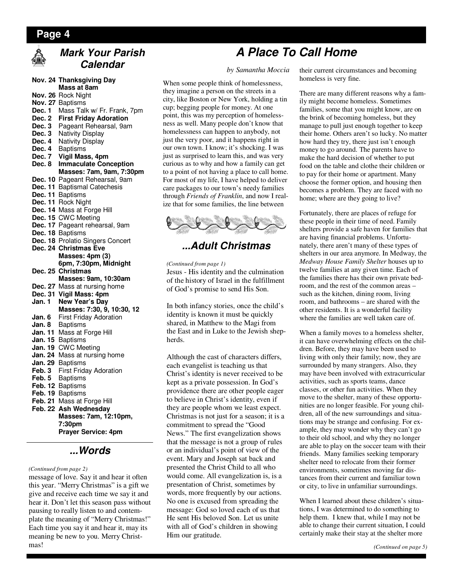### **Page 4**



## **Mark Your Parish Calendar**

|                | Nov. 24 Thanksgiving Day        |
|----------------|---------------------------------|
|                | Mass at 8am                     |
| <b>Nov. 26</b> | <b>Rock Night</b>               |
| <b>Nov. 27</b> | <b>Baptisms</b>                 |
| Dec. 1         | Mass Talk w/ Fr. Frank, 7pm     |
| Dec. 2         | <b>First Friday Adoration</b>   |
| Dec. 3         | Pageant Rehearsal, 9am          |
| Dec. 3         | <b>Nativity Display</b>         |
| Dec. 4         | <b>Nativity Display</b>         |
| Dec. 4         | Baptisms                        |
| Dec. 7         | Vigil Mass, 4pm                 |
| Dec. 8         | <b>Immaculate Conception</b>    |
|                | Masses: 7am, 9am, 7:30pm        |
| Dec. 10        | Pageant Rehearsal, 9am          |
| Dec. 11        | <b>Baptismal Catechesis</b>     |
| Dec. 11        | <b>Baptisms</b>                 |
| Dec. 11        | <b>Rock Night</b>               |
| Dec. 14        | Mass at Forge Hill              |
| Dec. 15        | <b>CWC Meeting</b>              |
| Dec. 17        | Pageant rehearsal, 9am          |
| Dec. 18        | <b>Baptisms</b>                 |
| Dec. 18        | <b>Prolatio Singers Concert</b> |
| Dec. 24        | <b>Christmas Eve</b>            |
|                | Masses: 4pm (3)                 |
|                | 6pm, 7:30pm, Midnight           |
|                | <b>Christmas</b>                |
| Dec. 25        | Masses: 9am, 10:30am            |
|                |                                 |
| Dec. 27        | Mass at nursing home            |
| Dec. 31        | Vigil Mass: 4pm                 |
| Jan. 1         | New Year's Day                  |
|                | Masses: 7:30, 9, 10:30, 12      |
| Jan. 6         | <b>First Friday Adoration</b>   |
| Jan. 8         | Baptisms                        |
| Jan. 11        | Mass at Forge Hill              |
| Jan. 15        | <b>Baptisms</b>                 |
| Jan. 19        | <b>CWC</b> Meeting              |
| <b>Jan. 24</b> | Mass at nursing home            |
| Jan. 29        | <b>Baptisms</b>                 |
| Feb. 3         | <b>First Friday Adoration</b>   |
| Feb. 5         | Baptisms                        |
| Feb. 12        | <b>Baptisms</b>                 |
| Feb. 19        | Baptisms                        |
| Feb. 21        | Mass at Forge Hill              |
| Feb. 22        | Ash Wednesday                   |
|                | Masses: 7am, 12:10pm,           |
|                | 7:30pm                          |
|                | <b>Prayer Service: 4pm</b>      |
|                |                                 |

## **...Words**

#### *(Continued from page 2)*

message of love. Say it and hear it often this year. "Merry Christmas" is a gift we give and receive each time we say it and hear it. Don't let this season pass without pausing to really listen to and contemplate the meaning of "Merry Christmas!" Each time you say it and hear it, may its meaning be new to you. Merry Christmas!

# **A Place To Call Home**

#### *by Samantha Moccia*

When some people think of homelessness, they imagine a person on the streets in a city, like Boston or New York, holding a tin cup; begging people for money. At one point, this was my perception of homelessness as well. Many people don't know that homelessness can happen to anybody, not just the very poor, and it happens right in our own town. I know; it's shocking. I was just as surprised to learn this, and was very curious as to why and how a family can get to a point of not having a place to call home. For most of my life, I have helped to deliver care packages to our town's needy families through *Friends of Franklin*, and now I realize that for some families, the line between



## **...Adult Christmas**

*(Continued from page 1)* 

Jesus - His identity and the culmination of the history of Israel in the fulfillment of God's promise to send His Son.

In both infancy stories, once the child's identity is known it must be quickly shared, in Matthew to the Magi from the East and in Luke to the Jewish shepherds.

Although the cast of characters differs, each evangelist is teaching us that Christ's identity is never received to be kept as a private possession. In God's providence there are other people eager to believe in Christ's identity, even if they are people whom we least expect. Christmas is not just for a season; it is a commitment to spread the "Good News." The first evangelization shows that the message is not a group of rules or an individual's point of view of the event. Mary and Joseph sat back and presented the Christ Child to all who would come. All evangelization is, is a presentation of Christ, sometimes by words, more frequently by our actions. No one is excused from spreading the message: God so loved each of us that He sent His beloved Son. Let us unite with all of God's children in showing Him our gratitude.

their current circumstances and becoming homeless is very fine.

There are many different reasons why a family might become homeless. Sometimes families, some that you might know, are on the brink of becoming homeless, but they manage to pull just enough together to keep their home. Others aren't so lucky. No matter how hard they try, there just isn't enough money to go around. The parents have to make the hard decision of whether to put food on the table and clothe their children or to pay for their home or apartment. Many choose the former option, and housing then becomes a problem. They are faced with no home; where are they going to live?

Fortunately, there are places of refuge for these people in their time of need. Family shelters provide a safe haven for families that are having financial problems. Unfortunately, there aren't many of these types of shelters in our area anymore. In Medway, the *Medway House Family Shelter* houses up to twelve families at any given time. Each of the families there has their own private bedroom, and the rest of the common areas – such as the kitchen, dining room, living room, and bathrooms – are shared with the other residents. It is a wonderful facility where the families are well taken care of.

When a family moves to a homeless shelter, it can have overwhelming effects on the children. Before, they may have been used to living with only their family; now, they are surrounded by many strangers. Also, they may have been involved with extracurricular activities, such as sports teams, dance classes, or other fun activities. When they move to the shelter, many of these opportunities are no longer feasible. For young children, all of the new surroundings and situations may be strange and confusing. For example, they may wonder why they can't go to their old school, and why they no longer are able to play on the soccer team with their friends. Many families seeking temporary shelter need to relocate from their former environments, sometimes moving far distances from their current and familiar town or city, to live in unfamiliar surroundings.

When I learned about these children's situations, I was determined to do something to help them. I knew that, while I may not be able to change their current situation, I could certainly make their stay at the shelter more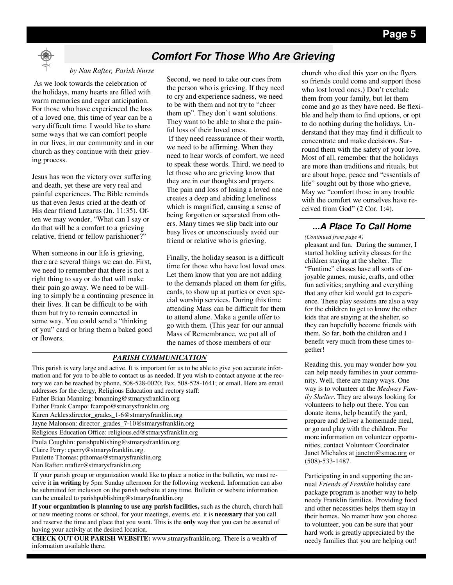## **Comfort For Those Who Are Grieving**

#### *by Nan Rafter, Parish Nurse*

 As we look towards the celebration of the holidays, many hearts are filled with warm memories and eager anticipation. For those who have experienced the loss of a loved one, this time of year can be a very difficult time. I would like to share some ways that we can comfort people in our lives, in our community and in our church as they continue with their grieving process.

Jesus has won the victory over suffering and death, yet these are very real and painful experiences. The Bible reminds us that even Jesus cried at the death of His dear friend Lazarus (Jn. 11:35). Often we may wonder, "What can I say or do that will be a comfort to a grieving relative, friend or fellow parishioner?"

When someone in our life is grieving, there are several things we can do. First, we need to remember that there is not a right thing to say or do that will make their pain go away. We need to be willing to simply be a continuing presence in their lives. It can be difficult to be with them but try to remain connected in some way. You could send a "thinking of you" card or bring them a baked good or flowers.

Second, we need to take our cues from the person who is grieving. If they need to cry and experience sadness, we need to be with them and not try to "cheer them up". They don't want solutions. They want to be able to share the painful loss of their loved ones.

 If they need reassurance of their worth, we need to be affirming. When they need to hear words of comfort, we need to speak these words. Third, we need to let those who are grieving know that they are in our thoughts and prayers. The pain and loss of losing a loved one creates a deep and abiding loneliness which is magnified, causing a sense of being forgotten or separated from others. Many times we slip back into our busy lives or unconsciously avoid our friend or relative who is grieving.

Finally, the holiday season is a difficult time for those who have lost loved ones. Let them know that you are not adding to the demands placed on them for gifts, cards, to show up at parties or even special worship services. During this time attending Mass can be difficult for them to attend alone. Make a gentle offer to go with them. (This year for our annual Mass of Remembrance, we put all of the names of those members of our

#### *PARISH COMMUNICATION*

This parish is very large and active. It is important for us to be able to give you accurate information and for you to be able to contact us as needed. If you wish to contact anyone at the rectory we can be reached by phone, 508-528-0020; Fax, 508-528-1641; or email. Here are email addresses for the clergy, Religious Education and rectory staff: Father Brian Manning: bmanning@stmarysfranklin.org

Father Frank Campo: fcampo@stmarysfranklin.org

Karen Ackles:director\_grades\_1-6@stmarysfranklin.org

Jayne Malonson: director\_grades\_7-10@stmarysfranklin.org

Religious Education Office: religious.ed@stmarysfranklin.org

Paula Coughlin: parishpublishing@stmarysfranklin.org

Claire Perry: cperry@stmarysfranklin.org.

Paulette Thomas: pthomas@stmarysfranklin.org

Nan Rafter: nrafter@stmarysfranklin.org

 If your parish group or organization would like to place a notice in the bulletin, we must receive it **in writing** by 5pm Sunday afternoon for the following weekend. Information can also be submitted for inclusion on the parish website at any time. Bulletin or website information can be emailed to parishpublishing@stmarysfranklin.org

**If your organization is planning to use any parish facilities,** such as the church, church hall or new meeting rooms or school, for your meetings, events, etc. it is **necessary** that you call and reserve the time and place that you want. This is the **only** way that you can be assured of having your activity at the desired location.

**CHECK OUT OUR PARISH WEBSITE:** www.stmarysfranklin.org. There is a wealth of information available there.

church who died this year on the flyers so friends could come and support those who lost loved ones.) Don't exclude them from your family, but let them come and go as they have need. Be flexible and help them to find options, or opt to do nothing during the holidays. Understand that they may find it difficult to concentrate and make decisions. Surround them with the safety of your love. Most of all, remember that the holidays are more than traditions and rituals, but are about hope, peace and "essentials of life" sought out by those who grieve, May we "comfort those in any trouble with the comfort we ourselves have received from God" (2 Cor. 1:4).

## **...A Place To Call Home**

pleasant and fun. During the summer, I started holding activity classes for the children staying at the shelter. The "Funtime" classes have all sorts of enjoyable games, music, crafts, and other fun activities; anything and everything that any other kid would get to experience. These play sessions are also a way for the children to get to know the other kids that are staying at the shelter, so they can hopefully become friends with them. So far, both the children and I benefit very much from these times together! *(Continued from page 4)* 

Reading this, you may wonder how you can help needy families in your community. Well, there are many ways. One way is to volunteer at the *Medway Family Shelter*. They are always looking for volunteers to help out there. You can donate items, help beautify the yard, prepare and deliver a homemade meal, or go and play with the children. For more information on volunteer opportunities, contact Volunteer Coordinator Janet Michalos at janetm@smoc.org or (508)-533-1487.

Participating in and supporting the annual *Friends of Franklin* holiday care package program is another way to help needy Franklin families. Providing food and other necessities helps them stay in their homes. No matter how you choose to volunteer, you can be sure that your hard work is greatly appreciated by the needy families that you are helping out!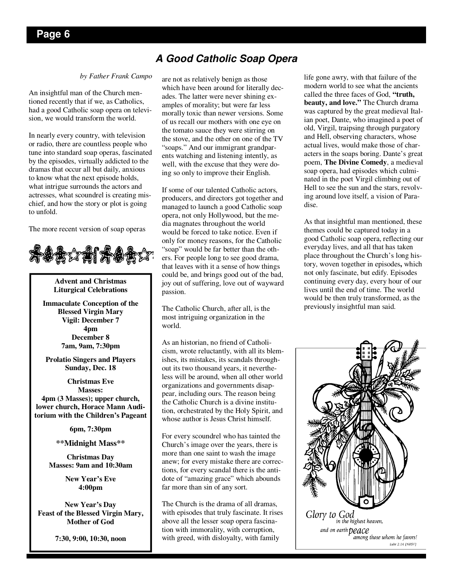## **A Good Catholic Soap Opera**

#### *by Father Frank Campo*

An insightful man of the Church mentioned recently that if we, as Catholics, had a good Catholic soap opera on television, we would transform the world.

In nearly every country, with television or radio, there are countless people who tune into standard soap operas, fascinated by the episodes, virtually addicted to the dramas that occur all but daily, anxious to know what the next episode holds, what intrigue surrounds the actors and actresses, what scoundrel is creating mischief, and how the story or plot is going to unfold.

The more recent version of soap operas



**Advent and Christmas Liturgical Celebrations** 

**Immaculate Conception of the Blessed Virgin Mary Vigil: December 7 4pm December 8 7am, 9am, 7:30pm** 

**Prolatio Singers and Players Sunday, Dec. 18** 

**Christmas Eve Masses: 4pm (3 Masses); upper church, lower church, Horace Mann Auditorium with the Children's Pageant** 

**6pm, 7:30pm** 

**\*\*Midnight Mass\*\*** 

**Christmas Day Masses: 9am and 10:30am** 

> **New Year's Eve 4:00pm**

**New Year's Day Feast of the Blessed Virgin Mary, Mother of God** 

**7:30, 9:00, 10:30, noon** 

are not as relatively benign as those which have been around for literally decades. The latter were never shining examples of morality; but were far less morally toxic than newer versions. Some of us recall our mothers with one eye on the tomato sauce they were stirring on the stove, and the other on one of the TV "soaps." And our immigrant grandparents watching and listening intently, as well, with the excuse that they were doing so only to improve their English.

If some of our talented Catholic actors, producers, and directors got together and managed to launch a good Catholic soap opera, not only Hollywood, but the media magnates throughout the world would be forced to take notice. Even if only for money reasons, for the Catholic "soap" would be far better than the others. For people long to see good drama, that leaves with it a sense of how things could be, and brings good out of the bad, joy out of suffering, love out of wayward passion.

The Catholic Church, after all, is the most intriguing organization in the world.

As an historian, no friend of Catholicism, wrote reluctantly, with all its blemishes, its mistakes, its scandals throughout its two thousand years, it nevertheless will be around, when all other world organizations and governments disappear, including ours. The reason being the Catholic Church is a divine institution, orchestrated by the Holy Spirit, and whose author is Jesus Christ himself.

For every scoundrel who has tainted the Church's image over the years, there is more than one saint to wash the image anew; for every mistake there are corrections, for every scandal there is the antidote of "amazing grace" which abounds far more than sin of any sort.

The Church is the drama of all dramas, with episodes that truly fascinate. It rises above all the lesser soap opera fascination with immorality, with corruption, with greed, with disloyalty, with family

life gone awry, with that failure of the modern world to see what the ancients called the three faces of God, **"truth, beauty, and love."** The Church drama was captured by the great medieval Italian poet, Dante, who imagined a poet of old, Virgil, traipsing through purgatory and Hell, observing characters, whose actual lives, would make those of characters in the soaps boring. Dante's great poem, **The Divine Comedy**, a medieval soap opera, had episodes which culminated in the poet Virgil climbing out of Hell to see the sun and the stars, revolving around love itself, a vision of Paradise.

As that insightful man mentioned, these themes could be captured today in a good Catholic soap opera, reflecting our everyday lives, and all that has taken place throughout the Church's long history, woven together in episodes**,** which not only fascinate, but edify. Episodes continuing every day, every hour of our lives until the end of time. The world would be then truly transformed, as the previously insightful man said.

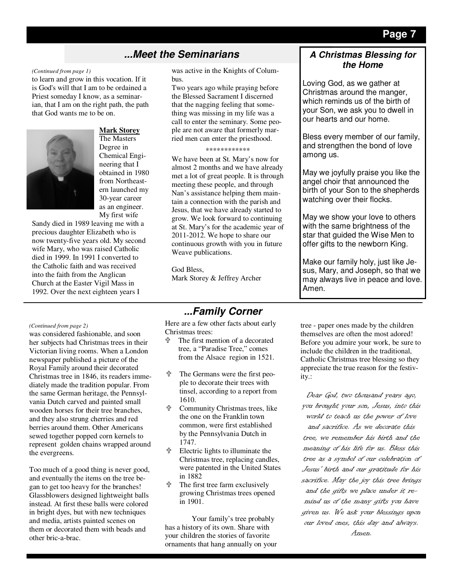## **...Meet the Seminarians**

#### *(Continued from page 1)*

to learn and grow in this vocation. If it is God's will that I am to be ordained a Priest someday I know, as a seminarian, that I am on the right path, the path that God wants me to be on.



### **Mark Storey**

The Masters Degree in Chemical Engineering that I obtained in 1980 from Northeastern launched my 30-year career as an engineer. My first wife

Sandy died in 1989 leaving me with a precious daughter Elizabeth who is now twenty-five years old. My second wife Mary, who was raised Catholic died in 1999. In 1991 I converted to the Catholic faith and was received into the faith from the Anglican Church at the Easter Vigil Mass in 1992. Over the next eighteen years I

was active in the Knights of Columbus.

Two years ago while praying before the Blessed Sacrament I discerned that the nagging feeling that something was missing in my life was a call to enter the seminary. Some people are not aware that formerly married men can enter the priesthood.

#### \*\*\*\*\*\*\*\*\*\*\*\*

We have been at St. Mary's now for almost 2 months and we have already met a lot of great people. It is through meeting these people, and through Nan's assistance helping them maintain a connection with the parish and Jesus, that we have already started to grow. We look forward to continuing at St. Mary's for the academic year of 2011-2012. We hope to share our continuous growth with you in future Weave publications.

God Bless, Mark Storey & Jeffrey Archer

#### *(Continued from page 2)*

was considered fashionable, and soon her subjects had Christmas trees in their Victorian living rooms. When a London newspaper published a picture of the Royal Family around their decorated Christmas tree in 1846, its readers immediately made the tradition popular. From the same German heritage, the Pennsylvania Dutch carved and painted small wooden horses for their tree branches, and they also strung cherries and red berries around them. Other Americans sewed together popped corn kernels to represent golden chains wrapped around the evergreens.

Too much of a good thing is never good, and eventually the items on the tree began to get too heavy for the branches! Glassblowers designed lightweight balls instead. At first these balls were colored in bright dyes, but with new techniques and media, artists painted scenes on them or decorated them with beads and other bric-a-brac.

## **...Family Corner**

Here are a few other facts about early Christmas trees:

- The first mention of a decorated tree, a "Paradise Tree," comes from the Alsace region in 1521.
- The Germans were the first people to decorate their trees with tinsel, according to a report from 1610.
- Community Christmas trees, like the one on the Franklin town common, were first established by the Pennsylvania Dutch in 1747.
- Electric lights to illuminate the Christmas tree, replacing candles, were patented in the United States in 1882
- The first tree farm exclusively growing Christmas trees opened in 1901.

Your family's tree probably has a history of its own. Share with your children the stories of favorite ornaments that hang annually on your

### **A Christmas Blessing for the Home**

Loving God, as we gather at Christmas around the manger, which reminds us of the birth of your Son, we ask you to dwell in our hearts and our home.

Bless every member of our family, and strengthen the bond of love among us.

May we joyfully praise you like the angel choir that announced the birth of your Son to the shepherds watching over their flocks.

May we show your love to others with the same brightness of the star that guided the Wise Men to offer gifts to the newborn King.

Make our family holy, just like Jesus, Mary, and Joseph, so that we may always live in peace and love. Amen.

tree - paper ones made by the children themselves are often the most adored! Before you admire your work, be sure to include the children in the traditional, Catholic Christmas tree blessing so they appreciate the true reason for the festivity.:

Dear God, two thousand years ago, you brought your son, Jesus, into this world to teach us the power of love and sacrifice. As we decorate this tree, we remember his birth and the meaning of his life for us. Bless this tree as a symbol of our celebration of Jesus' birth and our gratitude for his sacrifice. May the joy this tree brings and the gifts we place under it remind us of the many gifts you have given us. We ask your blessings upon our loved ones, this day and always. Amen.